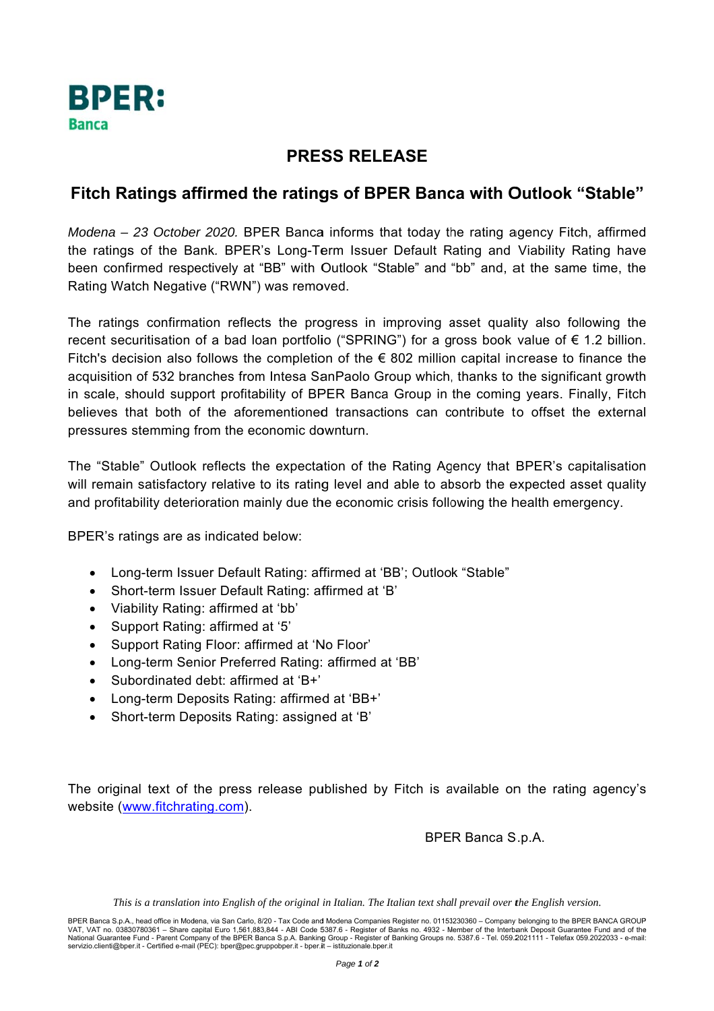

## **PRESS RELEASE**

## Fitch Ratings affirmed the ratings of BPER Banca with Outlook "Stable"

Modena - 23 October 2020. BPER Banca informs that today the rating agency Fitch, affirmed the ratings of the Bank. BPER's Long-Term Issuer Default Rating and Viability Rating have been confirmed respectively at "BB" with Outlook "Stable" and "bb" and, at the same time, the Rating Watch Negative ("RWN") was removed.

The ratings confirmation reflects the progress in improving asset quality also following the recent securitisation of a bad loan portfolio ("SPRING") for a gross book value of  $\epsilon$  1.2 billion. Fitch's decision also follows the completion of the  $\epsilon$  802 million capital increase to finance the acquisition of 532 branches from Intesa SanPaolo Group which, thanks to the significant growth in scale, should support profitability of BPER Banca Group in the coming years. Finally, Fitch believes that both of the aforementioned transactions can contribute to offset the external pressures stemming from the economic downturn.

The "Stable" Outlook reflects the expectation of the Rating Agency that BPER's capitalisation will remain satisfactory relative to its rating level and able to absorb the expected asset quality and profitability deterioration mainly due the economic crisis following the health emergency.

BPER's ratings are as indicated below:

- Long-term Issuer Default Rating: affirmed at 'BB'; Outlook "Stable"  $\bullet$
- Short-term Issuer Default Rating: affirmed at 'B'  $\bullet$
- Viability Rating: affirmed at 'bb'  $\bullet$
- Support Rating: affirmed at '5'  $\bullet$
- Support Rating Floor: affirmed at 'No Floor'
- Long-term Senior Preferred Rating: affirmed at 'BB'  $\bullet$
- Subordinated debt: affirmed at 'B+'
- Long-term Deposits Rating: affirmed at 'BB+'
- Short-term Deposits Rating: assigned at 'B'  $\bullet$

The original text of the press release published by Fitch is available on the rating agency's website (www.fitchrating.com).

BPER Banca S.p.A.

This is a translation into English of the original in Italian. The Italian text shall prevail over the English version.